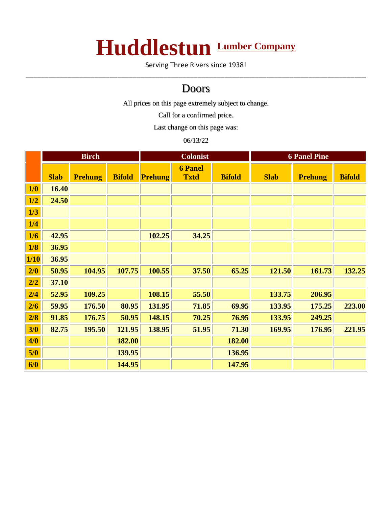## **Huddlestun Lumber Company**

Serving Three Rivers since 1938! \_\_\_\_\_\_\_\_\_\_\_\_\_\_\_\_\_\_\_\_\_\_\_\_\_\_\_\_\_\_\_\_\_\_\_\_\_\_\_\_\_\_\_\_\_\_\_\_\_\_\_\_\_\_\_\_\_\_\_\_\_\_\_\_\_\_\_\_\_\_\_\_\_\_\_\_\_\_\_\_\_\_\_\_\_\_\_\_\_

## Doors

All prices on this page extremely subject to change.

Call for a confirmed price.

Last change on this page was:

## 06/13/22

|      | <b>Birch</b> |                | <b>Colonist</b> |                |                               | <b>6 Panel Pine</b> |             |                |               |
|------|--------------|----------------|-----------------|----------------|-------------------------------|---------------------|-------------|----------------|---------------|
|      | <b>Slab</b>  | <b>Prehung</b> | <b>Bifold</b>   | <b>Prehung</b> | <b>6 Panel</b><br><b>Txtd</b> | <b>Bifold</b>       | <b>Slab</b> | <b>Prehung</b> | <b>Bifold</b> |
| 1/0  | 16.40        |                |                 |                |                               |                     |             |                |               |
| 1/2  | 24.50        |                |                 |                |                               |                     |             |                |               |
| 1/3  |              |                |                 |                |                               |                     |             |                |               |
| 1/4  |              |                |                 |                |                               |                     |             |                |               |
| 1/6  | 42.95        |                |                 | 102.25         | 34.25                         |                     |             |                |               |
| 1/8  | 36.95        |                |                 |                |                               |                     |             |                |               |
| 1/10 | 36.95        |                |                 |                |                               |                     |             |                |               |
| 2/0  | 50.95        | 104.95         | 107.75          | 100.55         | 37.50                         | 65.25               | 121.50      | 161.73         | 132.25        |
| 2/2  | 37.10        |                |                 |                |                               |                     |             |                |               |
| 2/4  | 52.95        | 109.25         |                 | 108.15         | 55.50                         |                     | 133.75      | 206.95         |               |
| 2/6  | 59.95        | 176.50         | 80.95           | 131.95         | 71.85                         | 69.95               | 133.95      | 175.25         | 223.00        |
| 2/8  | 91.85        | 176.75         | 50.95           | 148.15         | 70.25                         | 76.95               | 133.95      | 249.25         |               |
| 3/0  | 82.75        | 195.50         | 121.95          | 138.95         | 51.95                         | 71.30               | 169.95      | 176.95         | 221.95        |
| 4/0  |              |                | 182.00          |                |                               | 182.00              |             |                |               |
| 5/0  |              |                | 139.95          |                |                               | 136.95              |             |                |               |
| 6/0  |              |                | 144.95          |                |                               | 147.95              |             |                |               |